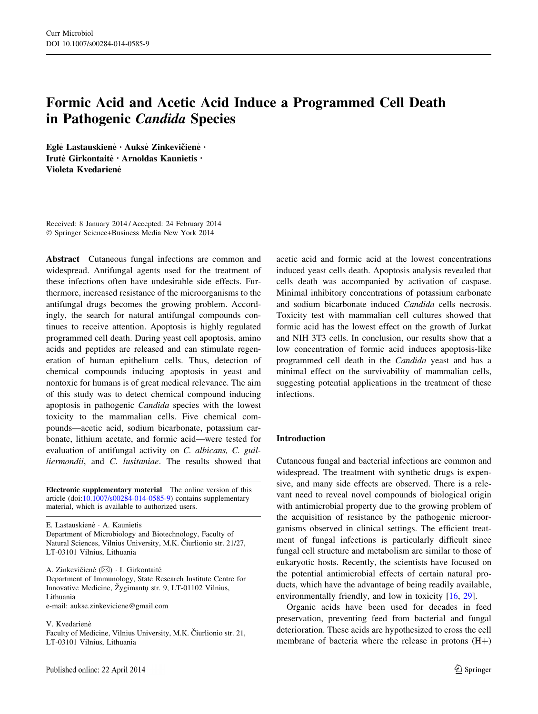# Formic Acid and Acetic Acid Induce a Programmed Cell Death in Pathogenic Candida Species

Egle Lastauskiene · Aukse Zinkevičiene · Irutė Girkontaitė · Arnoldas Kaunietis · Violeta Kvedarienė

Received: 8 January 2014 / Accepted: 24 February 2014 - Springer Science+Business Media New York 2014

Abstract Cutaneous fungal infections are common and widespread. Antifungal agents used for the treatment of these infections often have undesirable side effects. Furthermore, increased resistance of the microorganisms to the antifungal drugs becomes the growing problem. Accordingly, the search for natural antifungal compounds continues to receive attention. Apoptosis is highly regulated programmed cell death. During yeast cell apoptosis, amino acids and peptides are released and can stimulate regeneration of human epithelium cells. Thus, detection of chemical compounds inducing apoptosis in yeast and nontoxic for humans is of great medical relevance. The aim of this study was to detect chemical compound inducing apoptosis in pathogenic Candida species with the lowest toxicity to the mammalian cells. Five chemical compounds—acetic acid, sodium bicarbonate, potassium carbonate, lithium acetate, and formic acid—were tested for evaluation of antifungal activity on C. albicans, C. guilliermondii, and C. lusitaniae. The results showed that

Electronic supplementary material The online version of this article (doi:[10.1007/s00284-014-0585-9\)](http://dx.doi.org/10.1007/s00284-014-0585-9) contains supplementary material, which is available to authorized users.

E. Lastauskienė · A. Kaunietis Department of Microbiology and Biotechnology, Faculty of Natural Sciences, Vilnius University, M.K. Čiurlionio str. 21/27, LT-03101 Vilnius, Lithuania

A. Zinkevičienė  $(\boxtimes) \cdot$  I. Girkontaitė Department of Immunology, State Research Institute Centre for Innovative Medicine, Žygimantų str. 9, LT-01102 Vilnius, Lithuania e-mail: aukse.zinkeviciene@gmail.com

V. Kvedariene

Faculty of Medicine, Vilnius University, M.K. Ciurlionio str. 21, LT-03101 Vilnius, Lithuania

acetic acid and formic acid at the lowest concentrations induced yeast cells death. Apoptosis analysis revealed that cells death was accompanied by activation of caspase. Minimal inhibitory concentrations of potassium carbonate and sodium bicarbonate induced Candida cells necrosis. Toxicity test with mammalian cell cultures showed that formic acid has the lowest effect on the growth of Jurkat and NIH 3T3 cells. In conclusion, our results show that a low concentration of formic acid induces apoptosis-like programmed cell death in the Candida yeast and has a minimal effect on the survivability of mammalian cells, suggesting potential applications in the treatment of these infections.

# Introduction

Cutaneous fungal and bacterial infections are common and widespread. The treatment with synthetic drugs is expensive, and many side effects are observed. There is a relevant need to reveal novel compounds of biological origin with antimicrobial property due to the growing problem of the acquisition of resistance by the pathogenic microorganisms observed in clinical settings. The efficient treatment of fungal infections is particularly difficult since fungal cell structure and metabolism are similar to those of eukaryotic hosts. Recently, the scientists have focused on the potential antimicrobial effects of certain natural products, which have the advantage of being readily available, environmentally friendly, and low in toxicity [\[16](#page-6-0), [29\]](#page-7-0).

Organic acids have been used for decades in feed preservation, preventing feed from bacterial and fungal deterioration. These acids are hypothesized to cross the cell membrane of bacteria where the release in protons  $(H+)$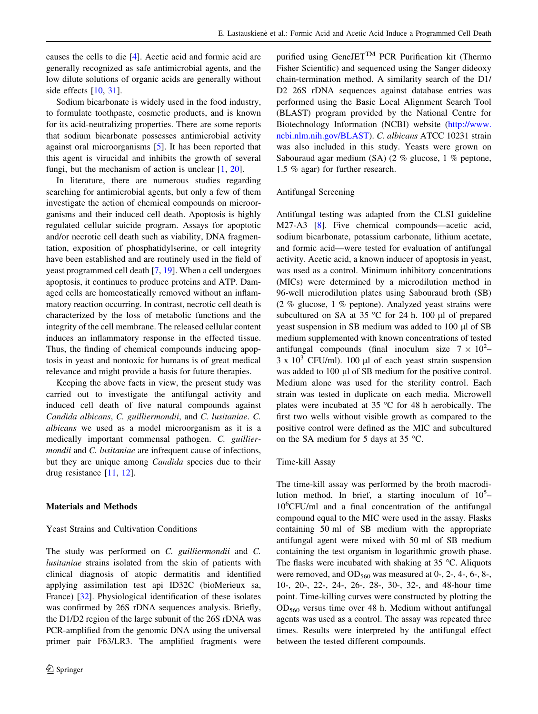causes the cells to die [[4\]](#page-6-0). Acetic acid and formic acid are generally recognized as safe antimicrobial agents, and the low dilute solutions of organic acids are generally without side effects [[10,](#page-6-0) [31\]](#page-7-0).

Sodium bicarbonate is widely used in the food industry, to formulate toothpaste, cosmetic products, and is known for its acid-neutralizing properties. There are some reports that sodium bicarbonate possesses antimicrobial activity against oral microorganisms [[5\]](#page-6-0). It has been reported that this agent is virucidal and inhibits the growth of several fungi, but the mechanism of action is unclear [\[1](#page-6-0), [20](#page-7-0)].

In literature, there are numerous studies regarding searching for antimicrobial agents, but only a few of them investigate the action of chemical compounds on microorganisms and their induced cell death. Apoptosis is highly regulated cellular suicide program. Assays for apoptotic and/or necrotic cell death such as viability, DNA fragmentation, exposition of phosphatidylserine, or cell integrity have been established and are routinely used in the field of yeast programmed cell death [\[7](#page-6-0), [19\]](#page-7-0). When a cell undergoes apoptosis, it continues to produce proteins and ATP. Damaged cells are homeostatically removed without an inflammatory reaction occurring. In contrast, necrotic cell death is characterized by the loss of metabolic functions and the integrity of the cell membrane. The released cellular content induces an inflammatory response in the effected tissue. Thus, the finding of chemical compounds inducing apoptosis in yeast and nontoxic for humans is of great medical relevance and might provide a basis for future therapies.

Keeping the above facts in view, the present study was carried out to investigate the antifungal activity and induced cell death of five natural compounds against Candida albicans, C. guilliermondii, and C. lusitaniae. C. albicans we used as a model microorganism as it is a medically important commensal pathogen. C. guilliermondii and C. lusitaniae are infrequent cause of infections, but they are unique among *Candida* species due to their drug resistance [[11,](#page-6-0) [12\]](#page-6-0).

# Materials and Methods

# Yeast Strains and Cultivation Conditions

The study was performed on C. guilliermondii and C. lusitaniae strains isolated from the skin of patients with clinical diagnosis of atopic dermatitis and identified applying assimilation test api ID32C (bioMerieux sa, France) [[32\]](#page-7-0). Physiological identification of these isolates was confirmed by 26S rDNA sequences analysis. Briefly, the D1/D2 region of the large subunit of the 26S rDNA was PCR-amplified from the genomic DNA using the universal primer pair F63/LR3. The amplified fragments were purified using GeneJET<sup>TM</sup> PCR Purification kit (Thermo Fisher Scientific) and sequenced using the Sanger dideoxy chain-termination method. A similarity search of the D1/ D2 26S rDNA sequences against database entries was performed using the Basic Local Alignment Search Tool (BLAST) program provided by the National Centre for Biotechnology Information (NCBI) website [\(http://www.](http://www.ncbi.nlm.nih.gov/BLAST) [ncbi.nlm.nih.gov/BLAST\)](http://www.ncbi.nlm.nih.gov/BLAST). C. albicans ATCC 10231 strain was also included in this study. Yeasts were grown on Sabouraud agar medium (SA) (2 % glucose, 1 % peptone, 1.5 % agar) for further research.

#### Antifungal Screening

Antifungal testing was adapted from the CLSI guideline M27-A3 [\[8](#page-6-0)]. Five chemical compounds—acetic acid, sodium bicarbonate, potassium carbonate, lithium acetate, and formic acid—were tested for evaluation of antifungal activity. Acetic acid, a known inducer of apoptosis in yeast, was used as a control. Minimum inhibitory concentrations (MICs) were determined by a microdilution method in 96-well microdilution plates using Sabouraud broth (SB) (2 % glucose, 1 % peptone). Analyzed yeast strains were subcultured on SA at 35  $\degree$ C for 24 h. 100 µl of prepared yeast suspension in SB medium was added to  $100 \mu$ l of SB medium supplemented with known concentrations of tested antifungal compounds (final inoculum size  $7 \times 10^2$ - $3 \times 10^3$  CFU/ml). 100 µl of each yeast strain suspension was added to 100 µl of SB medium for the positive control. Medium alone was used for the sterility control. Each strain was tested in duplicate on each media. Microwell plates were incubated at  $35^{\circ}$ C for 48 h aerobically. The first two wells without visible growth as compared to the positive control were defined as the MIC and subcultured on the SA medium for 5 days at 35  $^{\circ}$ C.

# Time-kill Assay

The time-kill assay was performed by the broth macrodilution method. In brief, a starting inoculum of  $10^5$ -10<sup>6</sup> CFU/ml and a final concentration of the antifungal compound equal to the MIC were used in the assay. Flasks containing 50 ml of SB medium with the appropriate antifungal agent were mixed with 50 ml of SB medium containing the test organism in logarithmic growth phase. The flasks were incubated with shaking at  $35^{\circ}$ C. Aliquots were removed, and  $OD_{560}$  was measured at 0-, 2-, 4-, 6-, 8-, 10-, 20-, 22-, 24-, 26-, 28-, 30-, 32-, and 48-hour time point. Time-killing curves were constructed by plotting the OD560 versus time over 48 h. Medium without antifungal agents was used as a control. The assay was repeated three times. Results were interpreted by the antifungal effect between the tested different compounds.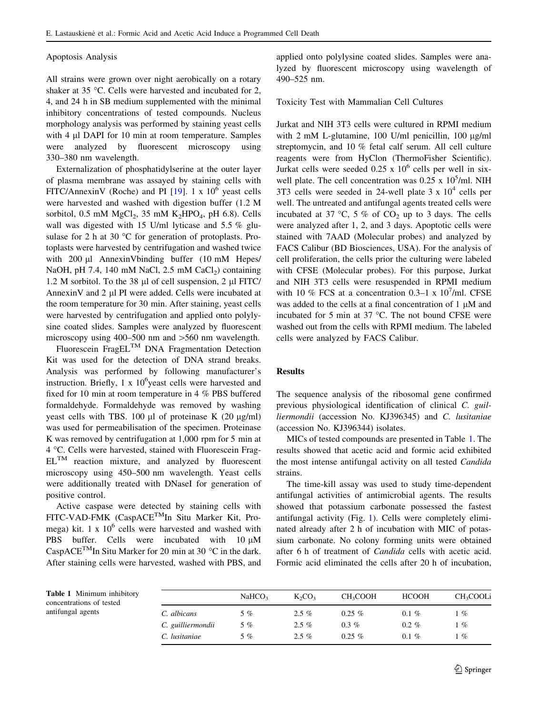#### Apoptosis Analysis

All strains were grown over night aerobically on a rotary shaker at  $35^{\circ}$ C. Cells were harvested and incubated for 2, 4, and 24 h in SB medium supplemented with the minimal inhibitory concentrations of tested compounds. Nucleus morphology analysis was performed by staining yeast cells with  $4 \mu$ l DAPI for 10 min at room temperature. Samples were analyzed by fluorescent microscopy using 330–380 nm wavelength.

Externalization of phosphatidylserine at the outer layer of plasma membrane was assayed by staining cells with FITC/AnnexinV (Roche) and PI  $[19]$  $[19]$ . 1 x  $10^6$  yeast cells were harvested and washed with digestion buffer (1.2 M sorbitol, 0.5 mM  $MgCl<sub>2</sub>$ , 35 mM  $K<sub>2</sub>HPO<sub>4</sub>$ , pH 6.8). Cells wall was digested with 15 U/ml lyticase and 5.5 % glusulase for 2 h at 30  $^{\circ}$ C for generation of protoplasts. Protoplasts were harvested by centrifugation and washed twice with  $200 \mu l$  AnnexinVbinding buffer (10 mM Hepes/ NaOH, pH 7.4, 140 mM NaCl,  $2.5$  mM CaCl<sub>2</sub>) containing 1.2 M sorbitol. To the 38  $\mu$ l of cell suspension, 2  $\mu$ l FITC/ AnnexinV and 2 µl PI were added. Cells were incubated at the room temperature for 30 min. After staining, yeast cells were harvested by centrifugation and applied onto polylysine coated slides. Samples were analyzed by fluorescent microscopy using 400–500 nm and  $>560$  nm wavelength.

Fluorescein FragEL<sup>TM</sup> DNA Fragmentation Detection Kit was used for the detection of DNA strand breaks. Analysis was performed by following manufacturer's instruction. Briefly,  $1 \times 10^6$ yeast cells were harvested and fixed for 10 min at room temperature in 4 % PBS buffered formaldehyde. Formaldehyde was removed by washing yeast cells with TBS. 100  $\mu$ l of proteinase K (20  $\mu$ g/ml) was used for permeabilisation of the specimen. Proteinase K was removed by centrifugation at 1,000 rpm for 5 min at 4 °C. Cells were harvested, stained with Fluorescein Frag- $EL^{TM}$  reaction mixture, and analyzed by fluorescent microscopy using 450–500 nm wavelength. Yeast cells were additionally treated with DNaseI for generation of positive control.

Active caspase were detected by staining cells with FITC-VAD-FMK (CaspACETMIn Situ Marker Kit, Promega) kit.  $1 \times 10^6$  cells were harvested and washed with PBS buffer. Cells were incubated with  $10 \mu M$ Casp $ACE^{TM}$ In Situ Marker for 20 min at 30 °C in the dark. After staining cells were harvested, washed with PBS, and applied onto polylysine coated slides. Samples were analyzed by fluorescent microscopy using wavelength of 490–525 nm.

Toxicity Test with Mammalian Cell Cultures

Jurkat and NIH 3T3 cells were cultured in RPMI medium with  $2 \text{ mM } L$ -glutamine, 100 U/ml penicillin, 100  $\mu$ g/ml streptomycin, and 10 % fetal calf serum. All cell culture reagents were from HyClon (ThermoFisher Scientific). Jurkat cells were seeded  $0.25 \times 10^6$  cells per well in sixwell plate. The cell concentration was  $0.25 \times 10^5$ /ml. NIH 3T3 cells were seeded in 24-well plate  $3 \times 10^4$  cells per well. The untreated and antifungal agents treated cells were incubated at 37 °C, 5 % of  $CO<sub>2</sub>$  up to 3 days. The cells were analyzed after 1, 2, and 3 days. Apoptotic cells were stained with 7AAD (Molecular probes) and analyzed by FACS Calibur (BD Biosciences, USA). For the analysis of cell proliferation, the cells prior the culturing were labeled with CFSE (Molecular probes). For this purpose, Jurkat and NIH 3T3 cells were resuspended in RPMI medium with 10 % FCS at a concentration 0.3-1 x  $10^7$ /ml. CFSE was added to the cells at a final concentration of  $1 \mu M$  and incubated for 5 min at 37  $^{\circ}$ C. The not bound CFSE were washed out from the cells with RPMI medium. The labeled cells were analyzed by FACS Calibur.

#### Results

The sequence analysis of the ribosomal gene confirmed previous physiological identification of clinical C. guilliermondii (accession No. KJ396345) and C. lusitaniae (accession No. KJ396344) isolates.

MICs of tested compounds are presented in Table 1. The results showed that acetic acid and formic acid exhibited the most intense antifungal activity on all tested Candida strains.

The time-kill assay was used to study time-dependent antifungal activities of antimicrobial agents. The results showed that potassium carbonate possessed the fastest antifungal activity (Fig. [1\)](#page-3-0). Cells were completely eliminated already after 2 h of incubation with MIC of potassium carbonate. No colony forming units were obtained after 6 h of treatment of Candida cells with acetic acid. Formic acid eliminated the cells after 20 h of incubation,

Table 1 Minimum inhibitory concentrations of tested antifungal agents

|                   | NaHCO <sub>3</sub> | $K_2CO_3$ | CH <sub>3</sub> COOH | <b>HCOOH</b> | CH <sub>3</sub> COOLi |
|-------------------|--------------------|-----------|----------------------|--------------|-----------------------|
| C. albicans       | 5%                 | $2.5\%$   | $0.25\%$             | $0.1 \%$     | 1%                    |
| C. guilliermondii | 5%                 | $2.5\%$   | $0.3\%$              | $0.2 \%$     | 1%                    |
| C. lusitaniae     | $5\%$              | $2.5\%$   | $0.25\%$             | $0.1 \%$     | l %                   |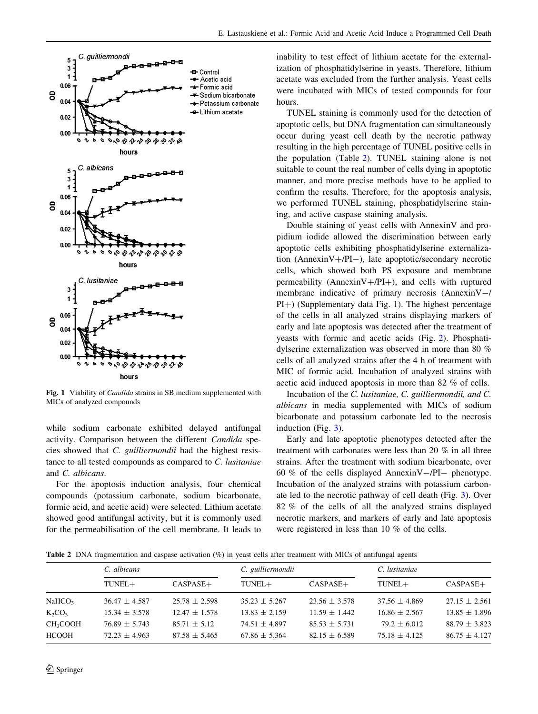<span id="page-3-0"></span>

Fig. 1 Viability of *Candida* strains in SB medium supplemented with MICs of analyzed compounds

while sodium carbonate exhibited delayed antifungal activity. Comparison between the different Candida species showed that C. guilliermondii had the highest resistance to all tested compounds as compared to C. lusitaniae and C. albicans.

For the apoptosis induction analysis, four chemical compounds (potassium carbonate, sodium bicarbonate, formic acid, and acetic acid) were selected. Lithium acetate showed good antifungal activity, but it is commonly used for the permeabilisation of the cell membrane. It leads to inability to test effect of lithium acetate for the externalization of phosphatidylserine in yeasts. Therefore, lithium acetate was excluded from the further analysis. Yeast cells were incubated with MICs of tested compounds for four hours.

TUNEL staining is commonly used for the detection of apoptotic cells, but DNA fragmentation can simultaneously occur during yeast cell death by the necrotic pathway resulting in the high percentage of TUNEL positive cells in the population (Table 2). TUNEL staining alone is not suitable to count the real number of cells dying in apoptotic manner, and more precise methods have to be applied to confirm the results. Therefore, for the apoptosis analysis, we performed TUNEL staining, phosphatidylserine staining, and active caspase staining analysis.

Double staining of yeast cells with AnnexinV and propidium iodide allowed the discrimination between early apoptotic cells exhibiting phosphatidylserine externalization (AnnexinV+/PI-), late apoptotic/secondary necrotic cells, which showed both PS exposure and membrane permeability (AnnexinV+/PI+), and cells with ruptured membrane indicative of primary necrosis (AnnexinV-/  $PI+$ ) (Supplementary data Fig. 1). The highest percentage of the cells in all analyzed strains displaying markers of early and late apoptosis was detected after the treatment of yeasts with formic and acetic acids (Fig. [2\)](#page-4-0). Phosphatidylserine externalization was observed in more than 80 % cells of all analyzed strains after the 4 h of treatment with MIC of formic acid. Incubation of analyzed strains with acetic acid induced apoptosis in more than 82 % of cells.

Incubation of the C. lusitaniae, C. guilliermondii, and C. albicans in media supplemented with MICs of sodium bicarbonate and potassium carbonate led to the necrosis induction (Fig. [3\)](#page-4-0).

Early and late apoptotic phenotypes detected after the treatment with carbonates were less than 20 % in all three strains. After the treatment with sodium bicarbonate, over 60 % of the cells displayed Annexin V $-$ /PI $-$  phenotype. Incubation of the analyzed strains with potassium carbonate led to the necrotic pathway of cell death (Fig. [3](#page-4-0)). Over 82 % of the cells of all the analyzed strains displayed necrotic markers, and markers of early and late apoptosis were registered in less than 10 % of the cells.

Table 2 DNA fragmentation and caspase activation (%) in yeast cells after treatment with MICs of antifungal agents

|                      | C. albicans       |                   | C. guilliermondii |                   | C. lusitaniae     |                   |
|----------------------|-------------------|-------------------|-------------------|-------------------|-------------------|-------------------|
|                      | $TUNEL+$          | $CASPASE+$        | $TUNEL+$          | $CASPASE+$        | TUNEL+            | $CASPASE+$        |
| NaHCO <sub>3</sub>   | $36.47 \pm 4.587$ | $25.78 \pm 2.598$ | $35.23 \pm 5.267$ | $23.56 \pm 3.578$ | $37.56 \pm 4.869$ | $27.15 \pm 2.561$ |
| $K_2CO_3$            | $15.34 \pm 3.578$ | $12.47 \pm 1.578$ | $13.83 \pm 2.159$ | $11.59 \pm 1.442$ | $16.86 \pm 2.567$ | $13.85 \pm 1.896$ |
| CH <sub>3</sub> COOH | $76.89 \pm 5.743$ | $85.71 \pm 5.12$  | $74.51 \pm 4.897$ | $85.53 \pm 5.731$ | $79.2 \pm 6.012$  | $88.79 \pm 3.823$ |
| <b>HCOOH</b>         | $72.23 \pm 4.963$ | $87.58 \pm 5.465$ | $67.86 \pm 5.364$ | $82.15 \pm 6.589$ | $75.18 \pm 4.125$ | $86.75 \pm 4.127$ |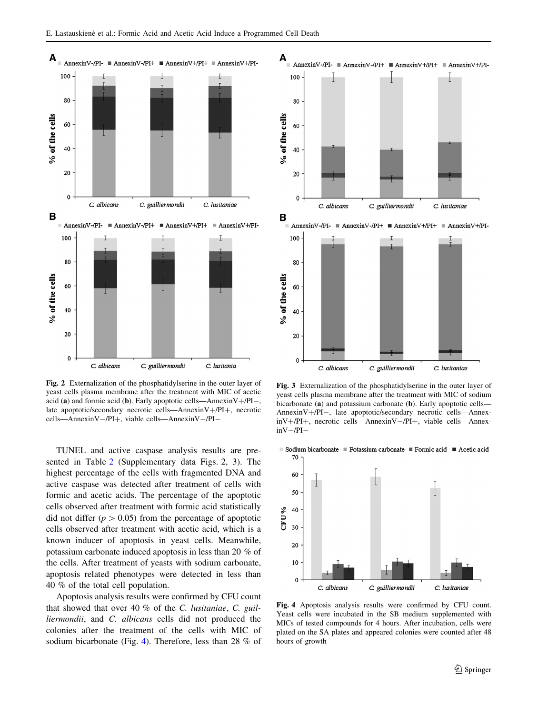<span id="page-4-0"></span>

Fig. 2 Externalization of the phosphatidylserine in the outer layer of yeast cells plasma membrane after the treatment with MIC of acetic acid (a) and formic acid (b). Early apoptotic cells—Annexin $V + /PI -$ , late apoptotic/secondary necrotic cells—Annexin $V + /PI +$ , necrotic cells—AnnexinV-/PI+, viable cells—AnnexinV-/PI-

TUNEL and active caspase analysis results are presented in Table [2](#page-3-0) (Supplementary data Figs. 2, 3). The highest percentage of the cells with fragmented DNA and active caspase was detected after treatment of cells with formic and acetic acids. The percentage of the apoptotic cells observed after treatment with formic acid statistically did not differ ( $p > 0.05$ ) from the percentage of apoptotic cells observed after treatment with acetic acid, which is a known inducer of apoptosis in yeast cells. Meanwhile, potassium carbonate induced apoptosis in less than 20 % of the cells. After treatment of yeasts with sodium carbonate, apoptosis related phenotypes were detected in less than 40 % of the total cell population.

Apoptosis analysis results were confirmed by CFU count that showed that over 40 % of the C. lusitaniae, C. guilliermondii, and C. albicans cells did not produced the colonies after the treatment of the cells with MIC of sodium bicarbonate (Fig. 4). Therefore, less than 28 % of



Fig. 3 Externalization of the phosphatidylserine in the outer layer of yeast cells plasma membrane after the treatment with MIC of sodium bicarbonate (a) and potassium carbonate (b). Early apoptotic cells— AnnexinV+/PI-, late apoptotic/secondary necrotic cells—Annex $inV+/PI+$ , necrotic cells—AnnexinV-/PI+, viable cells—Annex $inV - /PI -$ 

Sodium bicarbonate Potassium carbonate Formic acid Acetic acid 70



Fig. 4 Apoptosis analysis results were confirmed by CFU count. Yeast cells were incubated in the SB medium supplemented with MICs of tested compounds for 4 hours. After incubation, cells were plated on the SA plates and appeared colonies were counted after 48 hours of growth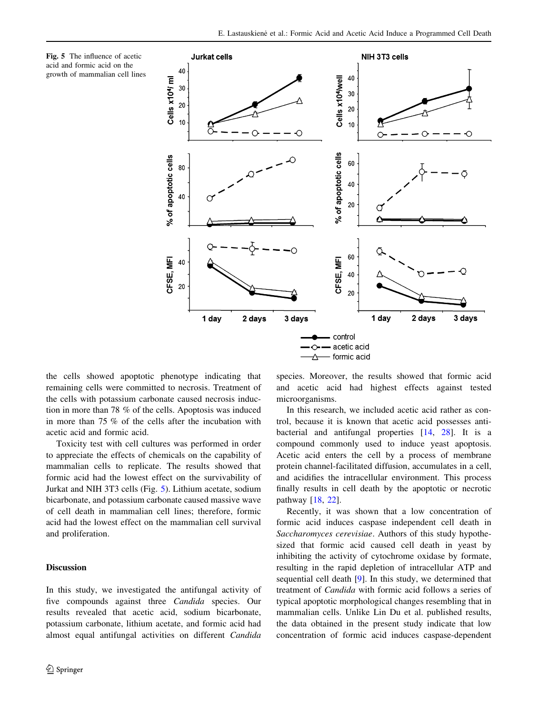



the cells showed apoptotic phenotype indicating that remaining cells were committed to necrosis. Treatment of the cells with potassium carbonate caused necrosis induction in more than 78 % of the cells. Apoptosis was induced in more than 75 % of the cells after the incubation with acetic acid and formic acid.

Toxicity test with cell cultures was performed in order to appreciate the effects of chemicals on the capability of mammalian cells to replicate. The results showed that formic acid had the lowest effect on the survivability of Jurkat and NIH 3T3 cells (Fig. 5). Lithium acetate, sodium bicarbonate, and potassium carbonate caused massive wave of cell death in mammalian cell lines; therefore, formic acid had the lowest effect on the mammalian cell survival and proliferation.

# Discussion

In this study, we investigated the antifungal activity of five compounds against three Candida species. Our results revealed that acetic acid, sodium bicarbonate, potassium carbonate, lithium acetate, and formic acid had almost equal antifungal activities on different Candida species. Moreover, the results showed that formic acid and acetic acid had highest effects against tested microorganisms.

In this research, we included acetic acid rather as control, because it is known that acetic acid possesses antibacterial and antifungal properties [[14,](#page-6-0) [28\]](#page-7-0). It is a compound commonly used to induce yeast apoptosis. Acetic acid enters the cell by a process of membrane protein channel-facilitated diffusion, accumulates in a cell, and acidifies the intracellular environment. This process finally results in cell death by the apoptotic or necrotic pathway [[18,](#page-6-0) [22](#page-7-0)].

Recently, it was shown that a low concentration of formic acid induces caspase independent cell death in Saccharomyces cerevisiae. Authors of this study hypothesized that formic acid caused cell death in yeast by inhibiting the activity of cytochrome oxidase by formate, resulting in the rapid depletion of intracellular ATP and sequential cell death [[9\]](#page-6-0). In this study, we determined that treatment of Candida with formic acid follows a series of typical apoptotic morphological changes resembling that in mammalian cells. Unlike Lin Du et al. published results, the data obtained in the present study indicate that low concentration of formic acid induces caspase-dependent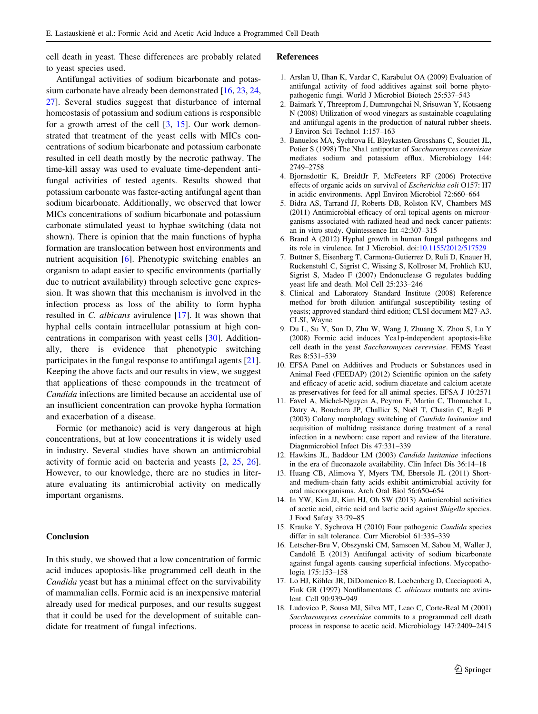<span id="page-6-0"></span>cell death in yeast. These differences are probably related to yeast species used.

Antifungal activities of sodium bicarbonate and potassium carbonate have already been demonstrated [16, [23,](#page-7-0) [24,](#page-7-0) [27](#page-7-0)]. Several studies suggest that disturbance of internal homeostasis of potassium and sodium cations is responsible for a growth arrest of the cell  $[3, 15]$ . Our work demonstrated that treatment of the yeast cells with MICs concentrations of sodium bicarbonate and potassium carbonate resulted in cell death mostly by the necrotic pathway. The time-kill assay was used to evaluate time-dependent antifungal activities of tested agents. Results showed that potassium carbonate was faster-acting antifungal agent than sodium bicarbonate. Additionally, we observed that lower MICs concentrations of sodium bicarbonate and potassium carbonate stimulated yeast to hyphae switching (data not shown). There is opinion that the main functions of hypha formation are translocation between host environments and nutrient acquisition [6]. Phenotypic switching enables an organism to adapt easier to specific environments (partially due to nutrient availability) through selective gene expression. It was shown that this mechanism is involved in the infection process as loss of the ability to form hypha resulted in C. albicans avirulence [17]. It was shown that hyphal cells contain intracellular potassium at high concentrations in comparison with yeast cells [[30\]](#page-7-0). Additionally, there is evidence that phenotypic switching participates in the fungal response to antifungal agents [\[21](#page-7-0)]. Keeping the above facts and our results in view, we suggest that applications of these compounds in the treatment of Candida infections are limited because an accidental use of an insufficient concentration can provoke hypha formation and exacerbation of a disease.

Formic (or methanoic) acid is very dangerous at high concentrations, but at low concentrations it is widely used in industry. Several studies have shown an antimicrobial activity of formic acid on bacteria and yeasts [2, [25](#page-7-0), [26](#page-7-0)]. However, to our knowledge, there are no studies in literature evaluating its antimicrobial activity on medically important organisms.

#### Conclusion

In this study, we showed that a low concentration of formic acid induces apoptosis-like programmed cell death in the Candida yeast but has a minimal effect on the survivability of mammalian cells. Formic acid is an inexpensive material already used for medical purposes, and our results suggest that it could be used for the development of suitable candidate for treatment of fungal infections.

#### References

- 1. Arslan U, Ilhan K, Vardar C, Karabulut OA (2009) Evaluation of antifungal activity of food additives against soil borne phytopathogenic fungi. World J Microbiol Biotech 25:537–543
- 2. Baimark Y, Threeprom J, Dumrongchai N, Srisuwan Y, Kotsaeng N (2008) Utilization of wood vinegars as sustainable coagulating and antifungal agents in the production of natural rubber sheets. J Environ Sci Technol 1:157–163
- 3. Banuelos MA, Sychrova H, Bleykasten-Grosshans C, Souciet JL, Potier S (1998) The Nha1 antiporter of Saccharomyces cerevisiae mediates sodium and potassium efflux. Microbiology 144: 2749–2758
- 4. Bjornsdottir K, BreidtJr F, McFeeters RF (2006) Protective effects of organic acids on survival of Escherichia coli O157: H7 in acidic environments. Appl Environ Microbiol 72:660–664
- 5. Bidra AS, Tarrand JJ, Roberts DB, Rolston KV, Chambers MS (2011) Antimicrobial efficacy of oral topical agents on microorganisms associated with radiated head and neck cancer patients: an in vitro study. Quintessence Int 42:307–315
- 6. Brand A (2012) Hyphal growth in human fungal pathogens and its role in virulence. Int J Microbiol. doi[:10.1155/2012/517529](http://dx.doi.org/10.1155/2012/517529)
- 7. Buttner S, Eisenberg T, Carmona-Gutierrez D, Ruli D, Knauer H, Ruckenstuhl C, Sigrist C, Wissing S, Kollroser M, Frohlich KU, Sigrist S, Madeo F (2007) Endonuclease G regulates budding yeast life and death. Mol Cell 25:233–246
- 8. Clinical and Laboratory Standard Institute (2008) Reference method for broth dilution antifungal susceptibility testing of yeasts; approved standard-third edition; CLSI document M27-A3. CLSI, Wayne
- 9. Du L, Su Y, Sun D, Zhu W, Wang J, Zhuang X, Zhou S, Lu Y (2008) Formic acid induces Yca1p-independent apoptosis-like cell death in the yeast Saccharomyces cerevisiae. FEMS Yeast Res 8:531–539
- 10. EFSA Panel on Additives and Products or Substances used in Animal Feed (FEEDAP) (2012) Scientific opinion on the safety and efficacy of acetic acid, sodium diacetate and calcium acetate as preservatives for feed for all animal species. EFSA J 10:2571
- 11. Favel A, Michel-Nguyen A, Peyron F, Martin C, Thomachot L, Datry A, Bouchara JP, Challier S, Noël T, Chastin C, Regli P (2003) Colony morphology switching of Candida lusitaniae and acquisition of multidrug resistance during treatment of a renal infection in a newborn: case report and review of the literature. Diagnmicrobiol Infect Dis 47:331–339
- 12. Hawkins JL, Baddour LM (2003) Candida lusitaniae infections in the era of fluconazole availability. Clin Infect Dis 36:14–18
- 13. Huang CB, Alimova Y, Myers TM, Ebersole JL (2011) Shortand medium-chain fatty acids exhibit antimicrobial activity for oral microorganisms. Arch Oral Biol 56:650–654
- 14. In YW, Kim JJ, Kim HJ, Oh SW (2013) Antimicrobial activities of acetic acid, citric acid and lactic acid against Shigella species. J Food Safety 33:79–85
- 15. Krauke Y, Sychrova H (2010) Four pathogenic Candida species differ in salt tolerance. Curr Microbiol 61:335–339
- 16. Letscher-Bru V, Obszynski CM, Samsoen M, Sabou M, Waller J, Candolfi E (2013) Antifungal activity of sodium bicarbonate against fungal agents causing superficial infections. Mycopathologia 175:153–158
- 17. Lo HJ, Köhler JR, DiDomenico B, Loebenberg D, Cacciapuoti A, Fink GR (1997) Nonfilamentous C. albicans mutants are avirulent. Cell 90:939–949
- 18. Ludovico P, Sousa MJ, Silva MT, Leao C, Corte-Real M (2001) Saccharomyces cerevisiae commits to a programmed cell death process in response to acetic acid. Microbiology 147:2409–2415